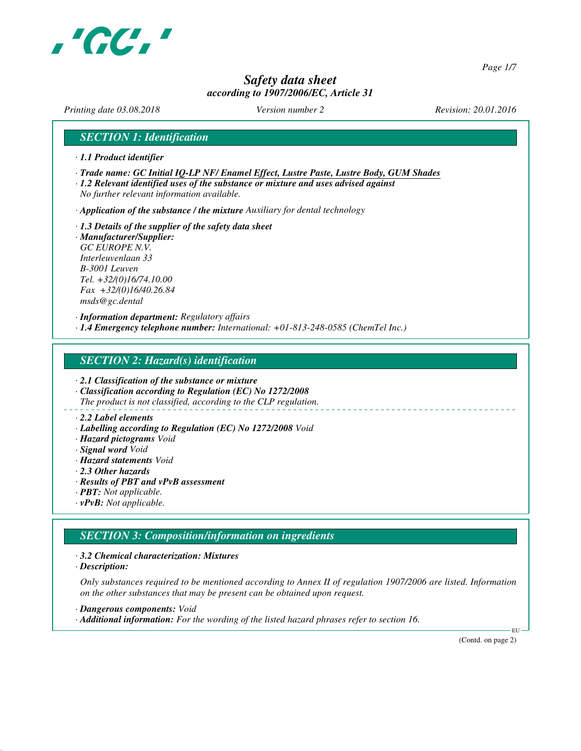

*Page 1/7*

# *Safety data sheet according to 1907/2006/EC, Article 31*

*Printing date 03.08.2018 Version number 2 Revision: 20.01.2016*

# *SECTION 1: Identification*

- *· 1.1 Product identifier*
- *· Trade name: GC Initial IQ-LP NF/ Enamel Effect, Lustre Paste, Lustre Body, GUM Shades*
- *· 1.2 Relevant identified uses of the substance or mixture and uses advised against No further relevant information available.*
- *· Application of the substance / the mixture Auxiliary for dental technology*
- *· 1.3 Details of the supplier of the safety data sheet · Manufacturer/Supplier: GC EUROPE N.V. Interleuvenlaan 33 B-3001 Leuven Tel. +32/(0)16/74.10.00 Fax +32/(0)16/40.26.84 msds@gc.dental*

*· Information department: Regulatory affairs · 1.4 Emergency telephone number: International: +01-813-248-0585 (ChemTel Inc.)*

# *SECTION 2: Hazard(s) identification*

*· 2.1 Classification of the substance or mixture*

*· Classification according to Regulation (EC) No 1272/2008 The product is not classified, according to the CLP regulation.*

#### *· 2.2 Label elements*

- *· Labelling according to Regulation (EC) No 1272/2008 Void*
- *· Hazard pictograms Void*
- *· Signal word Void*
- *· Hazard statements Void*
- *· 2.3 Other hazards*
- *· Results of PBT and vPvB assessment*
- *· PBT: Not applicable.*
- *· vPvB: Not applicable.*

# *SECTION 3: Composition/information on ingredients*

*· 3.2 Chemical characterization: Mixtures*

*· Description:*

*Only substances required to be mentioned according to Annex II of regulation 1907/2006 are listed. Information on the other substances that may be present can be obtained upon request.*

*· Dangerous components: Void · Additional information: For the wording of the listed hazard phrases refer to section 16.*

(Contd. on page 2)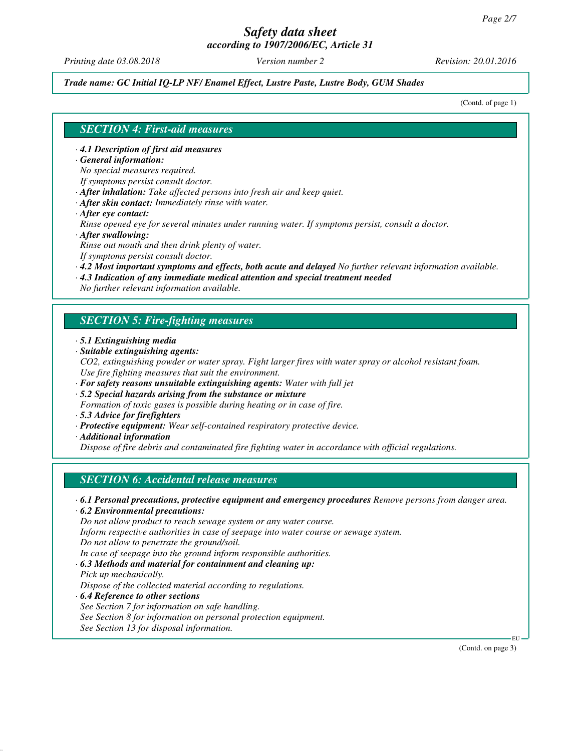*Printing date 03.08.2018 Version number 2 Revision: 20.01.2016*

#### *Trade name: GC Initial IQ-LP NF/ Enamel Effect, Lustre Paste, Lustre Body, GUM Shades*

(Contd. of page 1)

# *SECTION 4: First-aid measures*

- *· 4.1 Description of first aid measures*
- *· General information:*

*No special measures required.*

- *If symptoms persist consult doctor.*
- *· After inhalation: Take affected persons into fresh air and keep quiet.*
- *· After skin contact: Immediately rinse with water.*
- *· After eye contact:*

*Rinse opened eye for several minutes under running water. If symptoms persist, consult a doctor. · After swallowing:*

- *Rinse out mouth and then drink plenty of water.*
- *If symptoms persist consult doctor.*
- *· 4.2 Most important symptoms and effects, both acute and delayed No further relevant information available.*
- *· 4.3 Indication of any immediate medical attention and special treatment needed*

*No further relevant information available.*

# *SECTION 5: Fire-fighting measures*

- *· 5.1 Extinguishing media*
- *· Suitable extinguishing agents:*
- *CO2, extinguishing powder or water spray. Fight larger fires with water spray or alcohol resistant foam. Use fire fighting measures that suit the environment.*
- *· For safety reasons unsuitable extinguishing agents: Water with full jet*
- *· 5.2 Special hazards arising from the substance or mixture*
- *Formation of toxic gases is possible during heating or in case of fire.*
- *· 5.3 Advice for firefighters*
- *· Protective equipment: Wear self-contained respiratory protective device.*
- *· Additional information*

*Dispose of fire debris and contaminated fire fighting water in accordance with official regulations.*

# *SECTION 6: Accidental release measures*

*· 6.1 Personal precautions, protective equipment and emergency procedures Remove persons from danger area.*

*· 6.2 Environmental precautions:*

*Do not allow product to reach sewage system or any water course.*

*Inform respective authorities in case of seepage into water course or sewage system.*

*Do not allow to penetrate the ground/soil.*

*In case of seepage into the ground inform responsible authorities.*

*· 6.3 Methods and material for containment and cleaning up:*

- *Pick up mechanically. Dispose of the collected material according to regulations.*
- *· 6.4 Reference to other sections See Section 7 for information on safe handling. See Section 8 for information on personal protection equipment. See Section 13 for disposal information.*

(Contd. on page 3)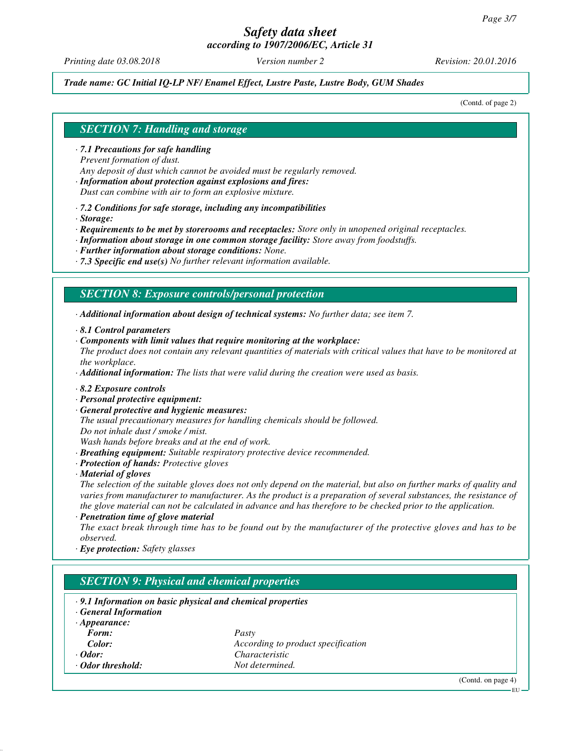*Printing date 03.08.2018 Version number 2 Revision: 20.01.2016*

#### *Trade name: GC Initial IQ-LP NF/ Enamel Effect, Lustre Paste, Lustre Body, GUM Shades*

(Contd. of page 2)

# *SECTION 7: Handling and storage*

- *· 7.1 Precautions for safe handling*
- *Prevent formation of dust.*
- *Any deposit of dust which cannot be avoided must be regularly removed.*
- *· Information about protection against explosions and fires:*
- *Dust can combine with air to form an explosive mixture.*
- *· 7.2 Conditions for safe storage, including any incompatibilities*
- *· Storage:*
- *· Requirements to be met by storerooms and receptacles: Store only in unopened original receptacles.*
- *· Information about storage in one common storage facility: Store away from foodstuffs.*
- *· Further information about storage conditions: None.*
- *· 7.3 Specific end use(s) No further relevant information available.*

# *SECTION 8: Exposure controls/personal protection*

- *· Additional information about design of technical systems: No further data; see item 7.*
- *· 8.1 Control parameters*
- *· Components with limit values that require monitoring at the workplace:*
- *The product does not contain any relevant quantities of materials with critical values that have to be monitored at the workplace.*
- *· Additional information: The lists that were valid during the creation were used as basis.*
- *· 8.2 Exposure controls*
- *· Personal protective equipment:*
- *· General protective and hygienic measures:*
- *The usual precautionary measures for handling chemicals should be followed. Do not inhale dust / smoke / mist.*
- *Wash hands before breaks and at the end of work.*
- *· Breathing equipment: Suitable respiratory protective device recommended.*
- *· Protection of hands: Protective gloves*
- *· Material of gloves*

*The selection of the suitable gloves does not only depend on the material, but also on further marks of quality and varies from manufacturer to manufacturer. As the product is a preparation of several substances, the resistance of the glove material can not be calculated in advance and has therefore to be checked prior to the application.*

- *· Penetration time of glove material*
- *The exact break through time has to be found out by the manufacturer of the protective gloves and has to be observed.*
- *· Eye protection: Safety glasses*

# *SECTION 9: Physical and chemical properties*

- *· 9.1 Information on basic physical and chemical properties*
- *· General Information*

| $\cdot$ Appearance: |                                    |
|---------------------|------------------------------------|
| Form:               | Pasty                              |
| Color:              | According to product specification |
| $\cdot$ Odor:       | <i>Characteristic</i>              |
| ⋅ Odor threshold:   | Not determined.                    |

(Contd. on page 4)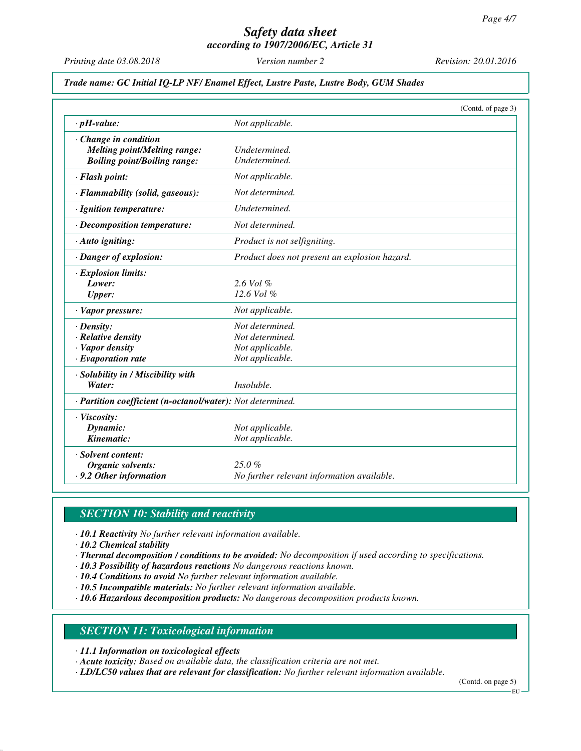*Printing date 03.08.2018 Version number 2 Revision: 20.01.2016*

#### *Trade name: GC Initial IQ-LP NF/ Enamel Effect, Lustre Paste, Lustre Body, GUM Shades*

|                                                            |                                               | (Contd. of page 3) |
|------------------------------------------------------------|-----------------------------------------------|--------------------|
| $\cdot$ pH-value:                                          | Not applicable.                               |                    |
| Change in condition                                        |                                               |                    |
| <b>Melting point/Melting range:</b>                        | Undetermined.                                 |                    |
| <b>Boiling point/Boiling range:</b>                        | Undetermined.                                 |                    |
| · Flash point:                                             | Not applicable.                               |                    |
| · Flammability (solid, gaseous):                           | Not determined.                               |                    |
| · Ignition temperature:                                    | Undetermined.                                 |                    |
| · Decomposition temperature:                               | Not determined.                               |                    |
| · Auto igniting:                                           | Product is not selfigniting.                  |                    |
| · Danger of explosion:                                     | Product does not present an explosion hazard. |                    |
| · Explosion limits:                                        |                                               |                    |
| Lower:                                                     | $2.6$ Vol $%$                                 |                    |
| <b>Upper:</b>                                              | 12.6 Vol %                                    |                    |
| · Vapor pressure:                                          | Not applicable.                               |                    |
| $\cdot$ Density:                                           | Not determined.                               |                    |
| $\cdot$ Relative density                                   | Not determined.                               |                    |
| · Vapor density                                            | Not applicable.                               |                    |
| $\cdot$ Evaporation rate                                   | Not applicable.                               |                    |
| · Solubility in / Miscibility with                         |                                               |                    |
| Water:                                                     | <i>Insoluble.</i>                             |                    |
| · Partition coefficient (n-octanol/water): Not determined. |                                               |                    |
| · Viscosity:                                               |                                               |                    |
| Dynamic:                                                   | Not applicable.                               |                    |
| Kinematic:                                                 | Not applicable.                               |                    |
| · Solvent content:                                         |                                               |                    |
| Organic solvents:                                          | 25.0%                                         |                    |
| .9.2 Other information                                     | No further relevant information available.    |                    |

# *SECTION 10: Stability and reactivity*

*· 10.1 Reactivity No further relevant information available.*

*· 10.2 Chemical stability*

- *· Thermal decomposition / conditions to be avoided: No decomposition if used according to specifications.*
- *· 10.3 Possibility of hazardous reactions No dangerous reactions known.*
- *· 10.4 Conditions to avoid No further relevant information available.*
- *· 10.5 Incompatible materials: No further relevant information available.*
- *· 10.6 Hazardous decomposition products: No dangerous decomposition products known.*

# *SECTION 11: Toxicological information*

*· 11.1 Information on toxicological effects*

*· Acute toxicity: Based on available data, the classification criteria are not met.*

*· LD/LC50 values that are relevant for classification: No further relevant information available.*

(Contd. on page 5)

EU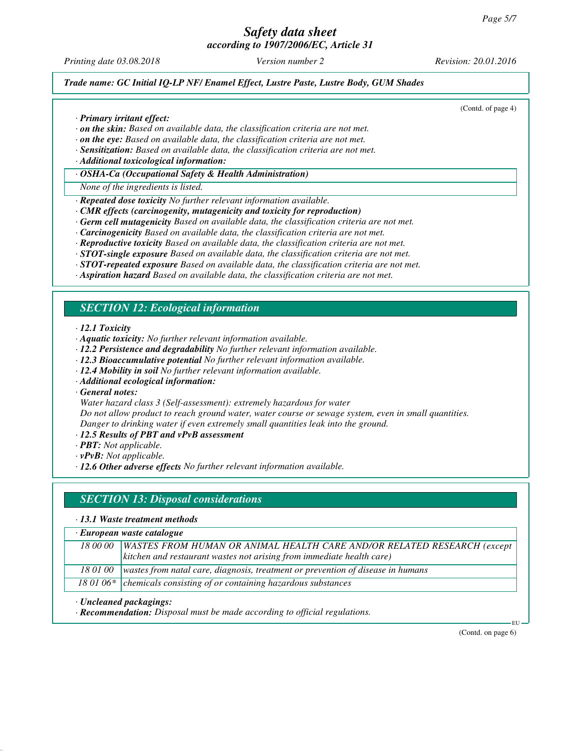*Printing date 03.08.2018 Version number 2 Revision: 20.01.2016*

(Contd. of page 4)

#### *Trade name: GC Initial IQ-LP NF/ Enamel Effect, Lustre Paste, Lustre Body, GUM Shades*

*· Primary irritant effect:*

- *· on the skin: Based on available data, the classification criteria are not met.*
- *· on the eye: Based on available data, the classification criteria are not met.*
- *· Sensitization: Based on available data, the classification criteria are not met.*
- *· Additional toxicological information:*

#### *· OSHA-Ca (Occupational Safety & Health Administration)*

*None of the ingredients is listed.*

- *· Repeated dose toxicity No further relevant information available.*
- *· CMR effects (carcinogenity, mutagenicity and toxicity for reproduction)*
- *· Germ cell mutagenicity Based on available data, the classification criteria are not met.*
- *· Carcinogenicity Based on available data, the classification criteria are not met.*
- *· Reproductive toxicity Based on available data, the classification criteria are not met.*
- *· STOT-single exposure Based on available data, the classification criteria are not met.*
- *· STOT-repeated exposure Based on available data, the classification criteria are not met.*
- *· Aspiration hazard Based on available data, the classification criteria are not met.*

# *SECTION 12: Ecological information*

*· 12.1 Toxicity*

- *· Aquatic toxicity: No further relevant information available.*
- *· 12.2 Persistence and degradability No further relevant information available.*
- *· 12.3 Bioaccumulative potential No further relevant information available.*
- *· 12.4 Mobility in soil No further relevant information available.*
- *· Additional ecological information:*
- *· General notes:*
- *Water hazard class 3 (Self-assessment): extremely hazardous for water Do not allow product to reach ground water, water course or sewage system, even in small quantities. Danger to drinking water if even extremely small quantities leak into the ground.*
- *· 12.5 Results of PBT and vPvB assessment*
- *· PBT: Not applicable.*
- *· vPvB: Not applicable.*
- *· 12.6 Other adverse effects No further relevant information available.*

# *SECTION 13: Disposal considerations*

#### *· 13.1 Waste treatment methods*

|          | · European waste catalogue                                                         |
|----------|------------------------------------------------------------------------------------|
|          | 18 00 00   WASTES FROM HUMAN OR ANIMAL HEALTH CARE AND/OR RELATED RESEARCH (except |
|          | kitchen and restaurant wastes not arising from immediate health care)              |
| 18 01 00 | wastes from natal care, diagnosis, treatment or prevention of disease in humans    |
|          | 18 01 06* $\vert$ chemicals consisting of or containing hazardous substances       |

*· Uncleaned packagings:*

*· Recommendation: Disposal must be made according to official regulations.*

(Contd. on page 6)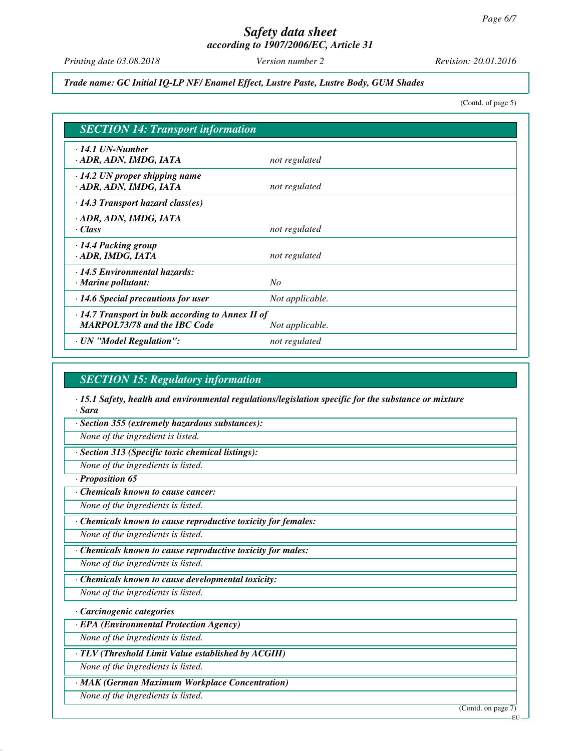*Printing date 03.08.2018 Version number 2 Revision: 20.01.2016*

### *Trade name: GC Initial IQ-LP NF/ Enamel Effect, Lustre Paste, Lustre Body, GUM Shades*

(Contd. of page 5)

| <b>SECTION 14: Transport information</b>                                                       |                 |  |
|------------------------------------------------------------------------------------------------|-----------------|--|
| $\cdot$ 14.1 UN-Number<br>· ADR, ADN, IMDG, IATA                                               | not regulated   |  |
| $\cdot$ 14.2 UN proper shipping name<br>· ADR, ADN, IMDG, IATA                                 | not regulated   |  |
| $\cdot$ 14.3 Transport hazard class(es)                                                        |                 |  |
| · ADR, ADN, IMDG, IATA<br>· Class                                                              | not regulated   |  |
| · 14.4 Packing group<br>· ADR, IMDG, IATA                                                      | not regulated   |  |
| · 14.5 Environmental hazards:<br>$\cdot$ Marine pollutant:                                     | N <sub>O</sub>  |  |
| · 14.6 Special precautions for user                                                            | Not applicable. |  |
| $\cdot$ 14.7 Transport in bulk according to Annex II of<br><b>MARPOL73/78 and the IBC Code</b> | Not applicable. |  |
| · UN "Model Regulation":                                                                       | not regulated   |  |

# *SECTION 15: Regulatory information*

*· 15.1 Safety, health and environmental regulations/legislation specific for the substance or mixture · Sara*

*· Section 355 (extremely hazardous substances):*

*None of the ingredient is listed.*

*· Section 313 (Specific toxic chemical listings):*

*None of the ingredients is listed.*

*· Proposition 65*

*· Chemicals known to cause cancer:*

*None of the ingredients is listed.*

*· Chemicals known to cause reproductive toxicity for females:*

*None of the ingredients is listed.*

*· Chemicals known to cause reproductive toxicity for males:*

*None of the ingredients is listed.*

*· Chemicals known to cause developmental toxicity:*

*None of the ingredients is listed.*

*· Carcinogenic categories*

*· EPA (Environmental Protection Agency)*

*None of the ingredients is listed.*

*· TLV (Threshold Limit Value established by ACGIH)*

*None of the ingredients is listed.*

*· MAK (German Maximum Workplace Concentration)*

*None of the ingredients is listed.*

(Contd. on page 7)